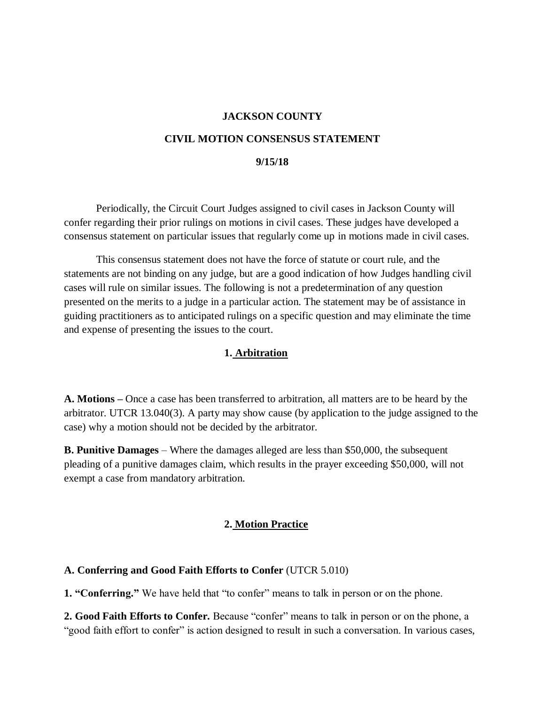#### **JACKSON COUNTY**

#### **CIVIL MOTION CONSENSUS STATEMENT**

#### **9/15/18**

Periodically, the Circuit Court Judges assigned to civil cases in Jackson County will confer regarding their prior rulings on motions in civil cases. These judges have developed a consensus statement on particular issues that regularly come up in motions made in civil cases.

This consensus statement does not have the force of statute or court rule, and the statements are not binding on any judge, but are a good indication of how Judges handling civil cases will rule on similar issues. The following is not a predetermination of any question presented on the merits to a judge in a particular action. The statement may be of assistance in guiding practitioners as to anticipated rulings on a specific question and may eliminate the time and expense of presenting the issues to the court.

#### **1. Arbitration**

**A. Motions –** Once a case has been transferred to arbitration, all matters are to be heard by the arbitrator. UTCR 13.040(3). A party may show cause (by application to the judge assigned to the case) why a motion should not be decided by the arbitrator.

**B. Punitive Damages** – Where the damages alleged are less than \$50,000, the subsequent pleading of a punitive damages claim, which results in the prayer exceeding \$50,000, will not exempt a case from mandatory arbitration.

#### **2. Motion Practice**

#### **A. Conferring and Good Faith Efforts to Confer** (UTCR 5.010)

**1. "Conferring."** We have held that "to confer" means to talk in person or on the phone.

**2. Good Faith Efforts to Confer.** Because "confer" means to talk in person or on the phone, a "good faith effort to confer" is action designed to result in such a conversation. In various cases,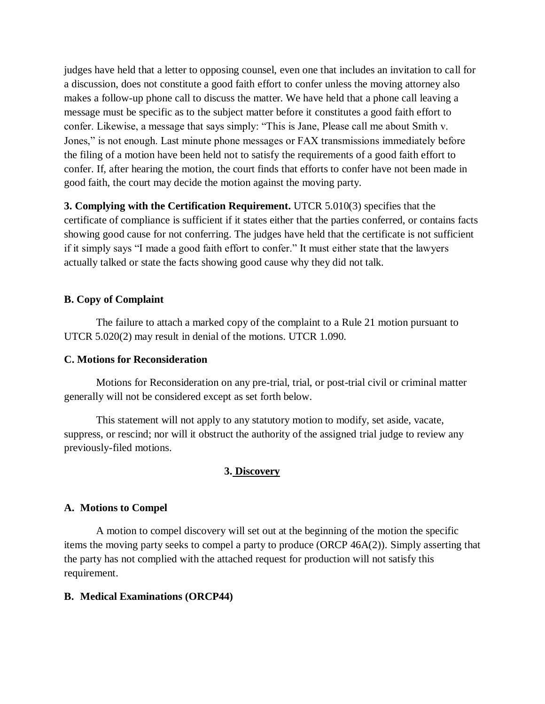judges have held that a letter to opposing counsel, even one that includes an invitation to call for a discussion, does not constitute a good faith effort to confer unless the moving attorney also makes a follow-up phone call to discuss the matter. We have held that a phone call leaving a message must be specific as to the subject matter before it constitutes a good faith effort to confer. Likewise, a message that says simply: "This is Jane, Please call me about Smith v. Jones," is not enough. Last minute phone messages or FAX transmissions immediately before the filing of a motion have been held not to satisfy the requirements of a good faith effort to confer. If, after hearing the motion, the court finds that efforts to confer have not been made in good faith, the court may decide the motion against the moving party.

**3. Complying with the Certification Requirement.** UTCR 5.010(3) specifies that the certificate of compliance is sufficient if it states either that the parties conferred, or contains facts showing good cause for not conferring. The judges have held that the certificate is not sufficient if it simply says "I made a good faith effort to confer." It must either state that the lawyers actually talked or state the facts showing good cause why they did not talk.

### **B. Copy of Complaint**

The failure to attach a marked copy of the complaint to a Rule 21 motion pursuant to UTCR 5.020(2) may result in denial of the motions. UTCR 1.090.

### **C. Motions for Reconsideration**

Motions for Reconsideration on any pre-trial, trial, or post-trial civil or criminal matter generally will not be considered except as set forth below.

This statement will not apply to any statutory motion to modify, set aside, vacate, suppress, or rescind; nor will it obstruct the authority of the assigned trial judge to review any previously-filed motions.

### **3. Discovery**

### **A. Motions to Compel**

A motion to compel discovery will set out at the beginning of the motion the specific items the moving party seeks to compel a party to produce (ORCP 46A(2)). Simply asserting that the party has not complied with the attached request for production will not satisfy this requirement.

### **B. Medical Examinations (ORCP44)**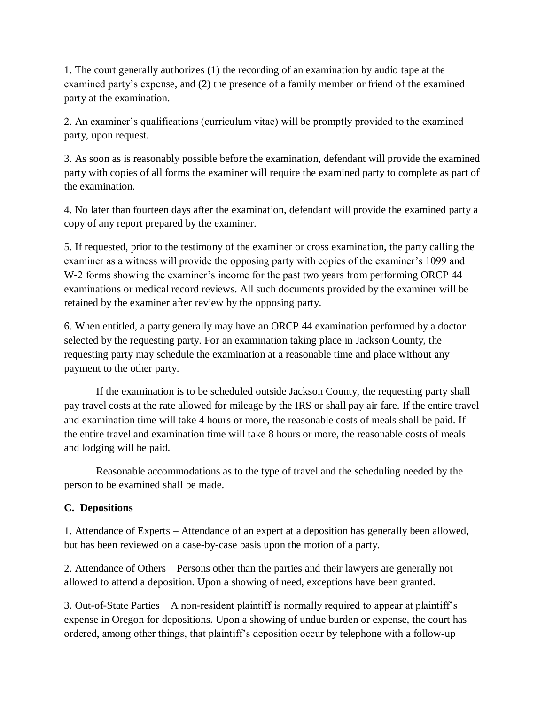1. The court generally authorizes (1) the recording of an examination by audio tape at the examined party's expense, and (2) the presence of a family member or friend of the examined party at the examination.

2. An examiner's qualifications (curriculum vitae) will be promptly provided to the examined party, upon request.

3. As soon as is reasonably possible before the examination, defendant will provide the examined party with copies of all forms the examiner will require the examined party to complete as part of the examination.

4. No later than fourteen days after the examination, defendant will provide the examined party a copy of any report prepared by the examiner.

5. If requested, prior to the testimony of the examiner or cross examination, the party calling the examiner as a witness will provide the opposing party with copies of the examiner's 1099 and W-2 forms showing the examiner's income for the past two years from performing ORCP 44 examinations or medical record reviews. All such documents provided by the examiner will be retained by the examiner after review by the opposing party.

6. When entitled, a party generally may have an ORCP 44 examination performed by a doctor selected by the requesting party. For an examination taking place in Jackson County, the requesting party may schedule the examination at a reasonable time and place without any payment to the other party.

If the examination is to be scheduled outside Jackson County, the requesting party shall pay travel costs at the rate allowed for mileage by the IRS or shall pay air fare. If the entire travel and examination time will take 4 hours or more, the reasonable costs of meals shall be paid. If the entire travel and examination time will take 8 hours or more, the reasonable costs of meals and lodging will be paid.

Reasonable accommodations as to the type of travel and the scheduling needed by the person to be examined shall be made.

## **C. Depositions**

1. Attendance of Experts – Attendance of an expert at a deposition has generally been allowed, but has been reviewed on a case-by-case basis upon the motion of a party.

2. Attendance of Others – Persons other than the parties and their lawyers are generally not allowed to attend a deposition. Upon a showing of need, exceptions have been granted.

3. Out-of-State Parties – A non-resident plaintiff is normally required to appear at plaintiff's expense in Oregon for depositions. Upon a showing of undue burden or expense, the court has ordered, among other things, that plaintiff's deposition occur by telephone with a follow-up